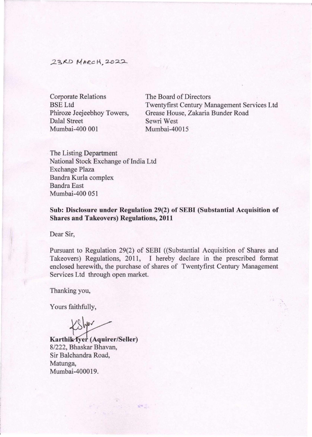## 23RD MARCH, 2022

Corporate Relations BSE Ltd Phiroze Jeejeebhoy Towers, Dalal Street Mumbai-400 001

The Board of Directors Twentyfrrst Century Management Services Ltd Grease House, Zakaria Bunder Road Sewri West Mumbai-40015

The Listing Department National Stock Exchange of India Ltd Exchange Plaza Bandra Kurla complex Bandra East Mumbai-400 051

**Sub: Disclosure under Regulation 29(2) of SEBI (Substantial Acquisition of Shares and Takeovers) Regulations, 2011** 

Dear Sir,

Pursuant to Regulation 29(2) of SEBI ((Substantial Acquisition of Shares and Takeovers) Regulations, 2011, I hereby declare in the prescribed format enclosed herewith, the purchase of shares of Twentyfirst Century Management Services Ltd through open market.

新品

Thanking you,

Yours faithfully,

KSHOV

**Karthik Yyer** (Aquirer/Seller) 8/222, Bhaskar Bhavan, Sir Balchandra Road, Matunga, Mumbai-400019.